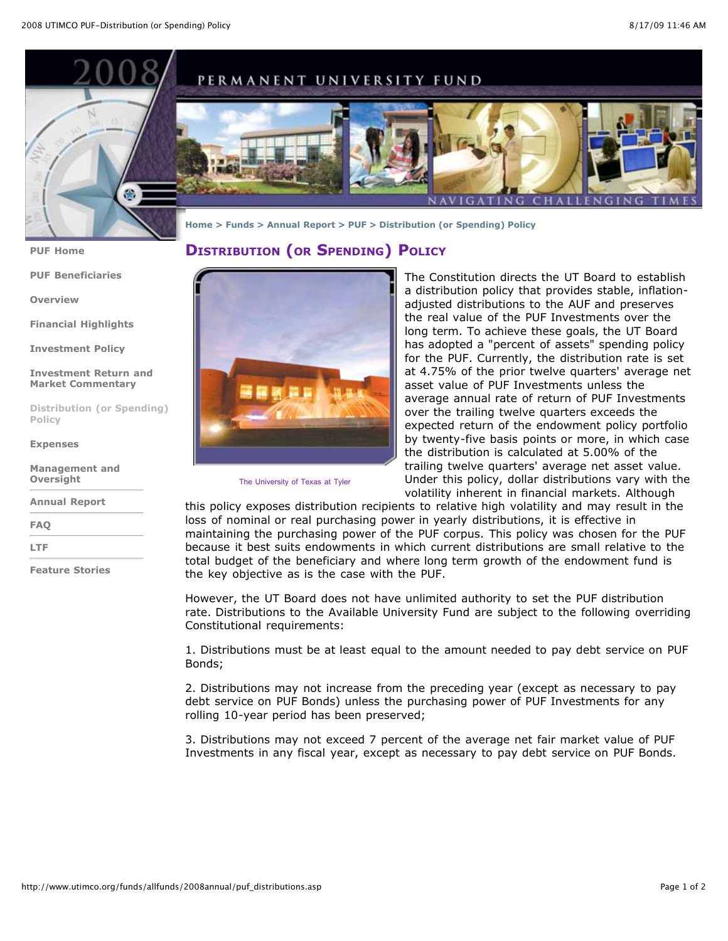

**[PUF Home](http://www.utimco.org/funds/allfunds/2008annual/puf_home.asp)**

**[PUF Beneficiaries](http://www.utimco.org/funds/allfunds/2008annual/puf_beneficiaries.asp)**

**[Overview](http://www.utimco.org/funds/allfunds/2008annual/puf_overview.asp)**

**[Financial Highlights](http://www.utimco.org/funds/allfunds/2008annual/puf_financial.asp)**

**[Investment Policy](http://www.utimco.org/funds/allfunds/2008annual/puf_investment.asp)**

**[Investment Return and](http://www.utimco.org/funds/allfunds/2008annual/puf_return.asp) Market Commentary**

**Distribution (or Spending) Policy**

**[Expenses](http://www.utimco.org/funds/allfunds/2008annual/puf_expenses.asp)**

**[Management and](http://www.utimco.org/funds/allfunds/2008annual/puf_management.asp) Oversight**

**[Annual Report](http://www.utimco.org/funds/allfunds/2008annual/index.asp)**

**[FAQ](http://www.utimco.org/funds/allfunds/2008annual/faq_home.asp)**

**[LTF](http://www.utimco.org/funds/allfunds/2008annual/ltf_home.asp)**

**[Feature Stories](http://www.utimco.org/funds/allfunds/2008annual/st_home.asp)**



The University of Texas at Tyler

The Constitution directs the UT Board to establish a distribution policy that provides stable, inflationadjusted distributions to the AUF and preserves the real value of the PUF Investments over the long term. To achieve these goals, the UT Board has adopted a "percent of assets" spending policy for the PUF. Currently, the distribution rate is set at 4.75% of the prior twelve quarters' average net asset value of PUF Investments unless the average annual rate of return of PUF Investments over the trailing twelve quarters exceeds the expected return of the endowment policy portfolio by twenty-five basis points or more, in which case the distribution is calculated at 5.00% of the trailing twelve quarters' average net asset value. Under this policy, dollar distributions vary with the volatility inherent in financial markets. Although

this policy exposes distribution recipients to relative high volatility and may result in the loss of nominal or real purchasing power in yearly distributions, it is effective in maintaining the purchasing power of the PUF corpus. This policy was chosen for the PUF because it best suits endowments in which current distributions are small relative to the total budget of the beneficiary and where long term growth of the endowment fund is the key objective as is the case with the PUF.

However, the UT Board does not have unlimited authority to set the PUF distribution rate. Distributions to the Available University Fund are subject to the following overriding Constitutional requirements:

1. Distributions must be at least equal to the amount needed to pay debt service on PUF Bonds;

2. Distributions may not increase from the preceding year (except as necessary to pay debt service on PUF Bonds) unless the purchasing power of PUF Investments for any rolling 10-year period has been preserved;

3. Distributions may not exceed 7 percent of the average net fair market value of PUF Investments in any fiscal year, except as necessary to pay debt service on PUF Bonds.

## **DISTRIBUTION (OR SPENDING) POLICY**